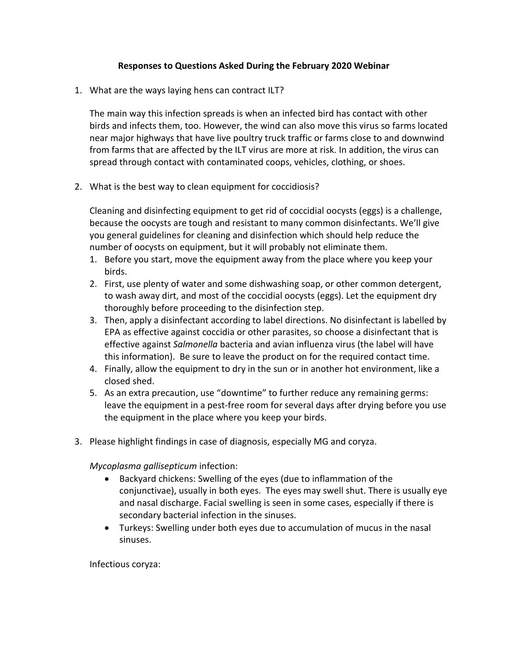## **Responses to Questions Asked During the February 2020 Webinar**

1. What are the ways laying hens can contract ILT?

The main way this infection spreads is when an infected bird has contact with other birds and infects them, too. However, the wind can also move this virus so farms located near major highways that have live poultry truck traffic or farms close to and downwind from farms that are affected by the ILT virus are more at risk. In addition, the virus can spread through contact with contaminated coops, vehicles, clothing, or shoes.

2. What is the best way to clean equipment for coccidiosis?

Cleaning and disinfecting equipment to get rid of coccidial oocysts (eggs) is a challenge, because the oocysts are tough and resistant to many common disinfectants. We'll give you general guidelines for cleaning and disinfection which should help reduce the number of oocysts on equipment, but it will probably not eliminate them.

- 1. Before you start, move the equipment away from the place where you keep your birds.
- 2. First, use plenty of water and some dishwashing soap, or other common detergent, to wash away dirt, and most of the coccidial oocysts (eggs). Let the equipment dry thoroughly before proceeding to the disinfection step.
- 3. Then, apply a disinfectant according to label directions. No disinfectant is labelled by EPA as effective against coccidia or other parasites, so choose a disinfectant that is effective against *Salmonella* bacteria and avian influenza virus (the label will have this information). Be sure to leave the product on for the required contact time.
- 4. Finally, allow the equipment to dry in the sun or in another hot environment, like a closed shed.
- 5. As an extra precaution, use "downtime" to further reduce any remaining germs: leave the equipment in a pest-free room for several days after drying before you use the equipment in the place where you keep your birds.
- 3. Please highlight findings in case of diagnosis, especially MG and coryza.

*Mycoplasma gallisepticum* infection:

- Backyard chickens: Swelling of the eyes (due to inflammation of the conjunctivae), usually in both eyes. The eyes may swell shut. There is usually eye and nasal discharge. Facial swelling is seen in some cases, especially if there is secondary bacterial infection in the sinuses.
- Turkeys: Swelling under both eyes due to accumulation of mucus in the nasal sinuses.

Infectious coryza: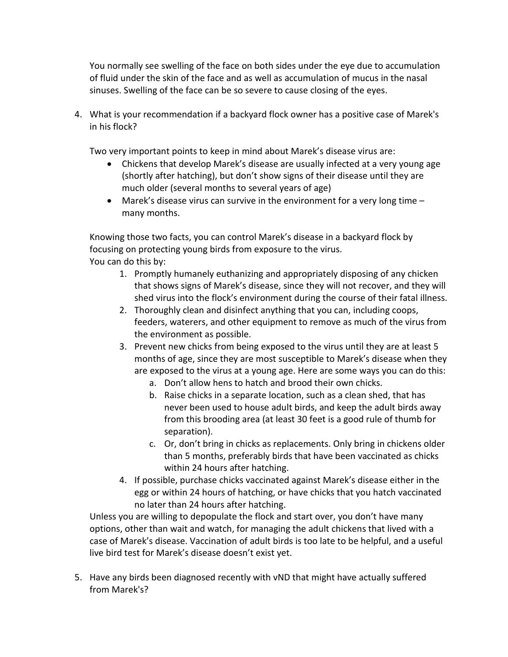You normally see swelling of the face on both sides under the eye due to accumulation of fluid under the skin of the face and as well as accumulation of mucus in the nasal sinuses. Swelling of the face can be so severe to cause closing of the eyes.

4. What is your recommendation if a backyard flock owner has a positive case of Marek's in his flock?

Two very important points to keep in mind about Marek's disease virus are:

- Chickens that develop Marek's disease are usually infected at a very young age (shortly after hatching), but don't show signs of their disease until they are much older (several months to several years of age)
- Marek's disease virus can survive in the environment for a very long time many months.

Knowing those two facts, you can control Marek's disease in a backyard flock by focusing on protecting young birds from exposure to the virus. You can do this by:

- 1. Promptly humanely euthanizing and appropriately disposing of any chicken that shows signs of Marek's disease, since they will not recover, and they will shed virus into the flock's environment during the course of their fatal illness.
- 2. Thoroughly clean and disinfect anything that you can, including coops, feeders, waterers, and other equipment to remove as much of the virus from the environment as possible.
- 3. Prevent new chicks from being exposed to the virus until they are at least 5 months of age, since they are most susceptible to Marek's disease when they are exposed to the virus at a young age. Here are some ways you can do this:
	- a. Don't allow hens to hatch and brood their own chicks.
	- b. Raise chicks in a separate location, such as a clean shed, that has never been used to house adult birds, and keep the adult birds away from this brooding area (at least 30 feet is a good rule of thumb for separation).
	- c. Or, don't bring in chicks as replacements. Only bring in chickens older than 5 months, preferably birds that have been vaccinated as chicks within 24 hours after hatching.
- 4. If possible, purchase chicks vaccinated against Marek's disease either in the egg or within 24 hours of hatching, or have chicks that you hatch vaccinated no later than 24 hours after hatching.

Unless you are willing to depopulate the flock and start over, you don't have many options, other than wait and watch, for managing the adult chickens that lived with a case of Marek's disease. Vaccination of adult birds is too late to be helpful, and a useful live bird test for Marek's disease doesn't exist yet.

5. Have any birds been diagnosed recently with vND that might have actually suffered from Marek's?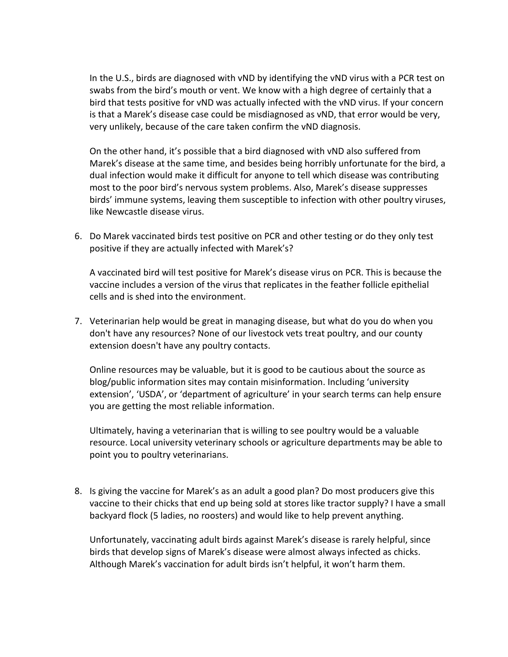In the U.S., birds are diagnosed with vND by identifying the vND virus with a PCR test on swabs from the bird's mouth or vent. We know with a high degree of certainly that a bird that tests positive for vND was actually infected with the vND virus. If your concern is that a Marek's disease case could be misdiagnosed as vND, that error would be very, very unlikely, because of the care taken confirm the vND diagnosis.

On the other hand, it's possible that a bird diagnosed with vND also suffered from Marek's disease at the same time, and besides being horribly unfortunate for the bird, a dual infection would make it difficult for anyone to tell which disease was contributing most to the poor bird's nervous system problems. Also, Marek's disease suppresses birds' immune systems, leaving them susceptible to infection with other poultry viruses, like Newcastle disease virus.

6. Do Marek vaccinated birds test positive on PCR and other testing or do they only test positive if they are actually infected with Marek's?

A vaccinated bird will test positive for Marek's disease virus on PCR. This is because the vaccine includes a version of the virus that replicates in the feather follicle epithelial cells and is shed into the environment.

7. Veterinarian help would be great in managing disease, but what do you do when you don't have any resources? None of our livestock vets treat poultry, and our county extension doesn't have any poultry contacts.

Online resources may be valuable, but it is good to be cautious about the source as blog/public information sites may contain misinformation. Including 'university extension', 'USDA', or 'department of agriculture' in your search terms can help ensure you are getting the most reliable information.

Ultimately, having a veterinarian that is willing to see poultry would be a valuable resource. Local university veterinary schools or agriculture departments may be able to point you to poultry veterinarians.

8. Is giving the vaccine for Marek's as an adult a good plan? Do most producers give this vaccine to their chicks that end up being sold at stores like tractor supply? I have a small backyard flock (5 ladies, no roosters) and would like to help prevent anything.

Unfortunately, vaccinating adult birds against Marek's disease is rarely helpful, since birds that develop signs of Marek's disease were almost always infected as chicks. Although Marek's vaccination for adult birds isn't helpful, it won't harm them.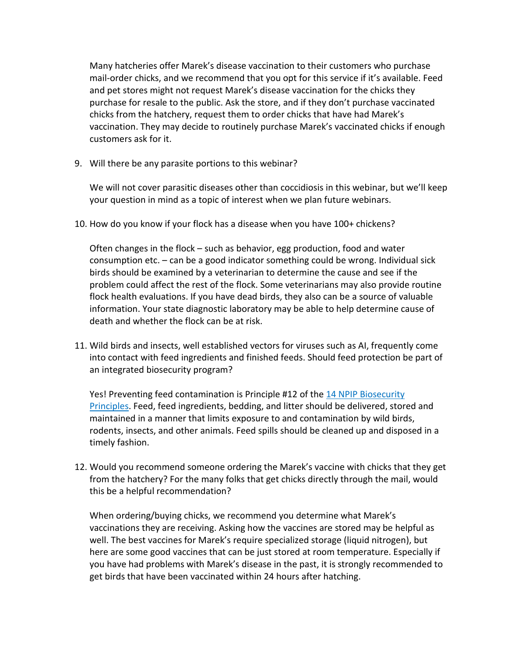Many hatcheries offer Marek's disease vaccination to their customers who purchase mail-order chicks, and we recommend that you opt for this service if it's available. Feed and pet stores might not request Marek's disease vaccination for the chicks they purchase for resale to the public. Ask the store, and if they don't purchase vaccinated chicks from the hatchery, request them to order chicks that have had Marek's vaccination. They may decide to routinely purchase Marek's vaccinated chicks if enough customers ask for it.

9. Will there be any parasite portions to this webinar?

We will not cover parasitic diseases other than coccidiosis in this webinar, but we'll keep your question in mind as a topic of interest when we plan future webinars.

10. How do you know if your flock has a disease when you have 100+ chickens?

Often changes in the flock – such as behavior, egg production, food and water consumption etc. – can be a good indicator something could be wrong. Individual sick birds should be examined by a veterinarian to determine the cause and see if the problem could affect the rest of the flock. Some veterinarians may also provide routine flock health evaluations. If you have dead birds, they also can be a source of valuable information. Your state diagnostic laboratory may be able to help determine cause of death and whether the flock can be at risk.

11. Wild birds and insects, well established vectors for viruses such as AI, frequently come into contact with feed ingredients and finished feeds. Should feed protection be part of an integrated biosecurity program?

Yes! Preventing feed contamination is Principle #12 of the [14 NPIP Biosecurity](https://www.poultryimprovement.org/documents/StandardE-BiosecurityPrinciples.pdf)  [Principles.](https://www.poultryimprovement.org/documents/StandardE-BiosecurityPrinciples.pdf) Feed, feed ingredients, bedding, and litter should be delivered, stored and maintained in a manner that limits exposure to and contamination by wild birds, rodents, insects, and other animals. Feed spills should be cleaned up and disposed in a timely fashion.

12. Would you recommend someone ordering the Marek's vaccine with chicks that they get from the hatchery? For the many folks that get chicks directly through the mail, would this be a helpful recommendation?

When ordering/buying chicks, we recommend you determine what Marek's vaccinations they are receiving. Asking how the vaccines are stored may be helpful as well. The best vaccines for Marek's require specialized storage (liquid nitrogen), but here are some good vaccines that can be just stored at room temperature. Especially if you have had problems with Marek's disease in the past, it is strongly recommended to get birds that have been vaccinated within 24 hours after hatching.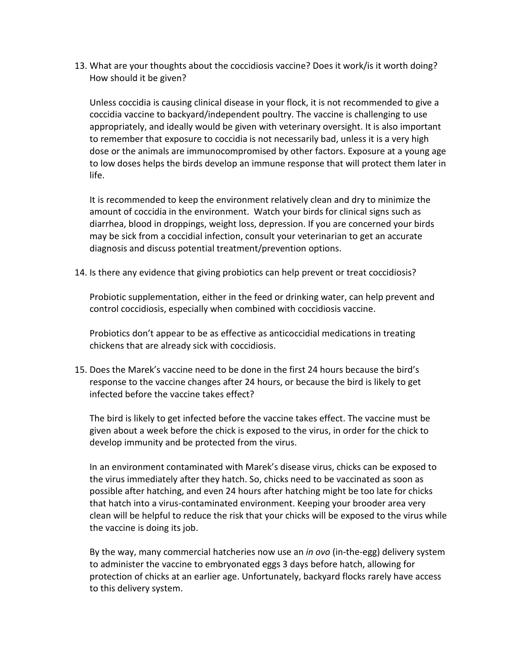13. What are your thoughts about the coccidiosis vaccine? Does it work/is it worth doing? How should it be given?

Unless coccidia is causing clinical disease in your flock, it is not recommended to give a coccidia vaccine to backyard/independent poultry. The vaccine is challenging to use appropriately, and ideally would be given with veterinary oversight. It is also important to remember that exposure to coccidia is not necessarily bad, unless it is a very high dose or the animals are immunocompromised by other factors. Exposure at a young age to low doses helps the birds develop an immune response that will protect them later in life.

It is recommended to keep the environment relatively clean and dry to minimize the amount of coccidia in the environment. Watch your birds for clinical signs such as diarrhea, blood in droppings, weight loss, depression. If you are concerned your birds may be sick from a coccidial infection, consult your veterinarian to get an accurate diagnosis and discuss potential treatment/prevention options.

14. Is there any evidence that giving probiotics can help prevent or treat coccidiosis?

Probiotic supplementation, either in the feed or drinking water, can help prevent and control coccidiosis, especially when combined with coccidiosis vaccine.

Probiotics don't appear to be as effective as anticoccidial medications in treating chickens that are already sick with coccidiosis.

15. Does the Marek's vaccine need to be done in the first 24 hours because the bird's response to the vaccine changes after 24 hours, or because the bird is likely to get infected before the vaccine takes effect?

The bird is likely to get infected before the vaccine takes effect. The vaccine must be given about a week before the chick is exposed to the virus, in order for the chick to develop immunity and be protected from the virus.

In an environment contaminated with Marek's disease virus, chicks can be exposed to the virus immediately after they hatch. So, chicks need to be vaccinated as soon as possible after hatching, and even 24 hours after hatching might be too late for chicks that hatch into a virus-contaminated environment. Keeping your brooder area very clean will be helpful to reduce the risk that your chicks will be exposed to the virus while the vaccine is doing its job.

By the way, many commercial hatcheries now use an *in ovo* (in-the-egg) delivery system to administer the vaccine to embryonated eggs 3 days before hatch, allowing for protection of chicks at an earlier age. Unfortunately, backyard flocks rarely have access to this delivery system.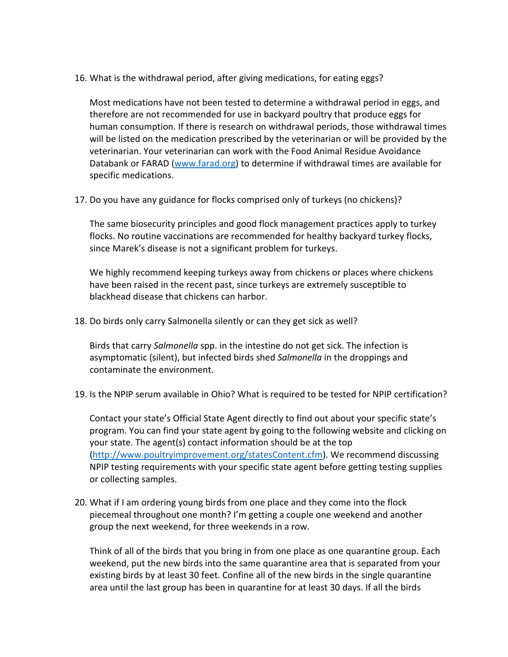16. What is the withdrawal period, after giving medications, for eating eggs?

Most medications have not been tested to determine a withdrawal period in eggs, and therefore are not recommended for use in backyard poultry that produce eggs for human consumption. If there is research on withdrawal periods, those withdrawal times will be listed on the medication prescribed by the veterinarian or will be provided by the veterinarian. Your veterinarian can work with the Food Animal Residue Avoidance Databank or FARAD [\(www.farad.org\)](http://www.farad.org/) to determine if withdrawal times are available for specific medications.

17. Do you have any guidance for flocks comprised only of turkeys (no chickens)?

The same biosecurity principles and good flock management practices apply to turkey flocks. No routine vaccinations are recommended for healthy backyard turkey flocks, since Marek's disease is not a significant problem for turkeys.

We highly recommend keeping turkeys away from chickens or places where chickens have been raised in the recent past, since turkeys are extremely susceptible to blackhead disease that chickens can harbor.

18. Do birds only carry Salmonella silently or can they get sick as well?

Birds that carry *Salmonella* spp. in the intestine do not get sick. The infection is asymptomatic (silent), but infected birds shed *Salmonella* in the droppings and contaminate the environment.

19. Is the NPIP serum available in Ohio? What is required to be tested for NPIP certification?

Contact your state's Official State Agent directly to find out about your specific state's program. You can find your state agent by going to the following website and clicking on your state. The agent(s) contact information should be at the top [\(http://www.poultryimprovement.org/statesContent.cfm\)](http://www.poultryimprovement.org/statesContent.cfm). We recommend discussing NPIP testing requirements with your specific state agent before getting testing supplies or collecting samples.

20. What if I am ordering young birds from one place and they come into the flock piecemeal throughout one month? I'm getting a couple one weekend and another group the next weekend, for three weekends in a row.

Think of all of the birds that you bring in from one place as one quarantine group. Each weekend, put the new birds into the same quarantine area that is separated from your existing birds by at least 30 feet. Confine all of the new birds in the single quarantine area until the last group has been in quarantine for at least 30 days. If all the birds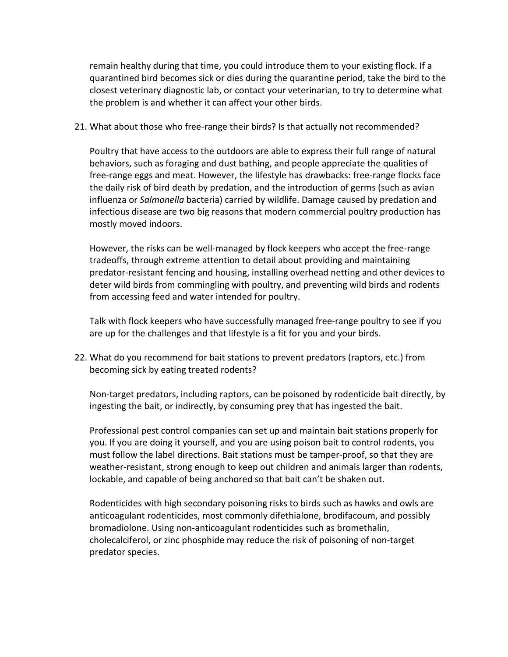remain healthy during that time, you could introduce them to your existing flock. If a quarantined bird becomes sick or dies during the quarantine period, take the bird to the closest veterinary diagnostic lab, or contact your veterinarian, to try to determine what the problem is and whether it can affect your other birds.

21. What about those who free-range their birds? Is that actually not recommended?

Poultry that have access to the outdoors are able to express their full range of natural behaviors, such as foraging and dust bathing, and people appreciate the qualities of free-range eggs and meat. However, the lifestyle has drawbacks: free-range flocks face the daily risk of bird death by predation, and the introduction of germs (such as avian influenza or *Salmonella* bacteria) carried by wildlife. Damage caused by predation and infectious disease are two big reasons that modern commercial poultry production has mostly moved indoors.

However, the risks can be well-managed by flock keepers who accept the free-range tradeoffs, through extreme attention to detail about providing and maintaining predator-resistant fencing and housing, installing overhead netting and other devices to deter wild birds from commingling with poultry, and preventing wild birds and rodents from accessing feed and water intended for poultry.

Talk with flock keepers who have successfully managed free-range poultry to see if you are up for the challenges and that lifestyle is a fit for you and your birds.

22. What do you recommend for bait stations to prevent predators (raptors, etc.) from becoming sick by eating treated rodents?

Non-target predators, including raptors, can be poisoned by rodenticide bait directly, by ingesting the bait, or indirectly, by consuming prey that has ingested the bait.

Professional pest control companies can set up and maintain bait stations properly for you. If you are doing it yourself, and you are using poison bait to control rodents, you must follow the label directions. Bait stations must be tamper-proof, so that they are weather-resistant, strong enough to keep out children and animals larger than rodents, lockable, and capable of being anchored so that bait can't be shaken out.

Rodenticides with high secondary poisoning risks to birds such as hawks and owls are anticoagulant rodenticides, most commonly difethialone, brodifacoum, and possibly bromadiolone. Using non-anticoagulant rodenticides such as bromethalin, cholecalciferol, or zinc phosphide may reduce the risk of poisoning of non-target predator species.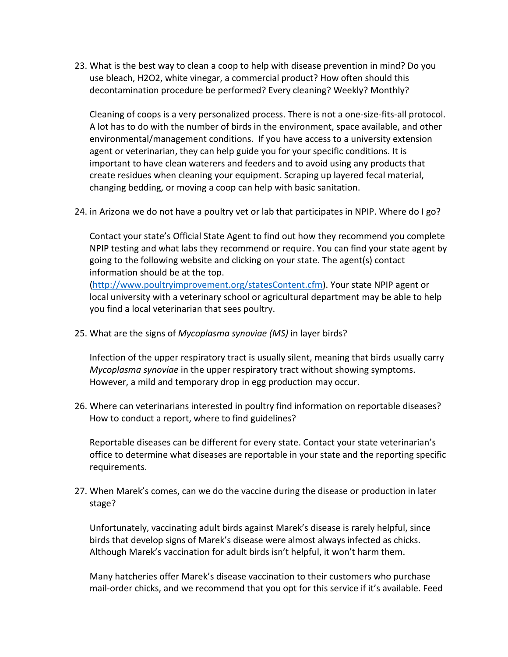23. What is the best way to clean a coop to help with disease prevention in mind? Do you use bleach, H2O2, white vinegar, a commercial product? How often should this decontamination procedure be performed? Every cleaning? Weekly? Monthly?

Cleaning of coops is a very personalized process. There is not a one-size-fits-all protocol. A lot has to do with the number of birds in the environment, space available, and other environmental/management conditions. If you have access to a university extension agent or veterinarian, they can help guide you for your specific conditions. It is important to have clean waterers and feeders and to avoid using any products that create residues when cleaning your equipment. Scraping up layered fecal material, changing bedding, or moving a coop can help with basic sanitation.

24. in Arizona we do not have a poultry vet or lab that participates in NPIP. Where do I go?

Contact your state's Official State Agent to find out how they recommend you complete NPIP testing and what labs they recommend or require. You can find your state agent by going to the following website and clicking on your state. The agent(s) contact information should be at the top.

[\(http://www.poultryimprovement.org/statesContent.cfm\)](http://www.poultryimprovement.org/statesContent.cfm). Your state NPIP agent or local university with a veterinary school or agricultural department may be able to help you find a local veterinarian that sees poultry.

25. What are the signs of *Mycoplasma synoviae (MS)* in layer birds?

Infection of the upper respiratory tract is usually silent, meaning that birds usually carry *Mycoplasma synoviae* in the upper respiratory tract without showing symptoms. However, a mild and temporary drop in egg production may occur.

26. Where can veterinarians interested in poultry find information on reportable diseases? How to conduct a report, where to find guidelines?

Reportable diseases can be different for every state. Contact your state veterinarian's office to determine what diseases are reportable in your state and the reporting specific requirements.

27. When Marek's comes, can we do the vaccine during the disease or production in later stage?

Unfortunately, vaccinating adult birds against Marek's disease is rarely helpful, since birds that develop signs of Marek's disease were almost always infected as chicks. Although Marek's vaccination for adult birds isn't helpful, it won't harm them.

Many hatcheries offer Marek's disease vaccination to their customers who purchase mail-order chicks, and we recommend that you opt for this service if it's available. Feed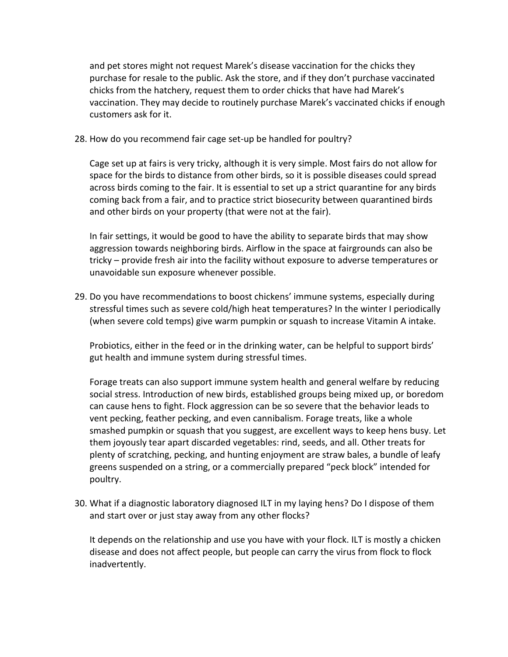and pet stores might not request Marek's disease vaccination for the chicks they purchase for resale to the public. Ask the store, and if they don't purchase vaccinated chicks from the hatchery, request them to order chicks that have had Marek's vaccination. They may decide to routinely purchase Marek's vaccinated chicks if enough customers ask for it.

28. How do you recommend fair cage set-up be handled for poultry?

Cage set up at fairs is very tricky, although it is very simple. Most fairs do not allow for space for the birds to distance from other birds, so it is possible diseases could spread across birds coming to the fair. It is essential to set up a strict quarantine for any birds coming back from a fair, and to practice strict biosecurity between quarantined birds and other birds on your property (that were not at the fair).

In fair settings, it would be good to have the ability to separate birds that may show aggression towards neighboring birds. Airflow in the space at fairgrounds can also be tricky – provide fresh air into the facility without exposure to adverse temperatures or unavoidable sun exposure whenever possible.

29. Do you have recommendations to boost chickens' immune systems, especially during stressful times such as severe cold/high heat temperatures? In the winter I periodically (when severe cold temps) give warm pumpkin or squash to increase Vitamin A intake.

Probiotics, either in the feed or in the drinking water, can be helpful to support birds' gut health and immune system during stressful times.

Forage treats can also support immune system health and general welfare by reducing social stress. Introduction of new birds, established groups being mixed up, or boredom can cause hens to fight. Flock aggression can be so severe that the behavior leads to vent pecking, feather pecking, and even cannibalism. Forage treats, like a whole smashed pumpkin or squash that you suggest, are excellent ways to keep hens busy. Let them joyously tear apart discarded vegetables: rind, seeds, and all. Other treats for plenty of scratching, pecking, and hunting enjoyment are straw bales, a bundle of leafy greens suspended on a string, or a commercially prepared "peck block" intended for poultry.

30. What if a diagnostic laboratory diagnosed ILT in my laying hens? Do I dispose of them and start over or just stay away from any other flocks?

It depends on the relationship and use you have with your flock. ILT is mostly a chicken disease and does not affect people, but people can carry the virus from flock to flock inadvertently.